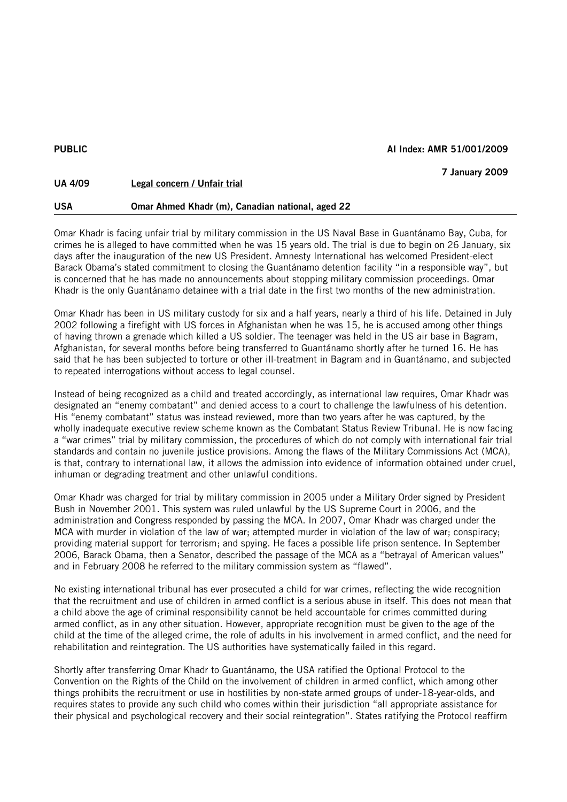## PUBLIC **ALL AI Index: AMR 51/001/2009**

| <b>UA 4/09</b> | Legal concern / Unfair trial                     | 7 January 2009 |
|----------------|--------------------------------------------------|----------------|
| <b>USA</b>     | Omar Ahmed Khadr (m), Canadian national, aged 22 |                |

Omar Khadr is facing unfair trial by military commission in the US Naval Base in Guantánamo Bay, Cuba, for crimes he is alleged to have committed when he was 15 years old. The trial is due to begin on 26 January, six days after the inauguration of the new US President. Amnesty International has welcomed President-elect Barack Obama's stated commitment to closing the Guantánamo detention facility "in a responsible way", but is concerned that he has made no announcements about stopping military commission proceedings. Omar Khadr is the only Guantánamo detainee with a trial date in the first two months of the new administration.

Omar Khadr has been in US military custody for six and a half years, nearly a third of his life. Detained in July 2002 following a firefight with US forces in Afghanistan when he was 15, he is accused among other things of having thrown a grenade which killed a US soldier. The teenager was held in the US air base in Bagram, Afghanistan, for several months before being transferred to Guantánamo shortly after he turned 16. He has said that he has been subjected to torture or other ill-treatment in Bagram and in Guantánamo, and subjected to repeated interrogations without access to legal counsel.

Instead of being recognized as a child and treated accordingly, as international law requires, Omar Khadr was designated an "enemy combatant" and denied access to a court to challenge the lawfulness of his detention. His "enemy combatant" status was instead reviewed, more than two years after he was captured, by the wholly inadequate executive review scheme known as the Combatant Status Review Tribunal. He is now facing a "war crimes" trial by military commission, the procedures of which do not comply with international fair trial standards and contain no juvenile justice provisions. Among the flaws of the Military Commissions Act (MCA), is that, contrary to international law, it allows the admission into evidence of information obtained under cruel, inhuman or degrading treatment and other unlawful conditions.

Omar Khadr was charged for trial by military commission in 2005 under a Military Order signed by President Bush in November 2001. This system was ruled unlawful by the US Supreme Court in 2006, and the administration and Congress responded by passing the MCA. In 2007, Omar Khadr was charged under the MCA with murder in violation of the law of war; attempted murder in violation of the law of war; conspiracy; providing material support for terrorism; and spying. He faces a possible life prison sentence. In September 2006, Barack Obama, then a Senator, described the passage of the MCA as a "betrayal of American values" and in February 2008 he referred to the military commission system as "flawed".

No existing international tribunal has ever prosecuted a child for war crimes, reflecting the wide recognition that the recruitment and use of children in armed conflict is a serious abuse in itself. This does not mean that a child above the age of criminal responsibility cannot be held accountable for crimes committed during armed conflict, as in any other situation. However, appropriate recognition must be given to the age of the child at the time of the alleged crime, the role of adults in his involvement in armed conflict, and the need for rehabilitation and reintegration. The US authorities have systematically failed in this regard.

Shortly after transferring Omar Khadr to Guantánamo, the USA ratified the Optional Protocol to the Convention on the Rights of the Child on the involvement of children in armed conflict, which among other things prohibits the recruitment or use in hostilities by non-state armed groups of under-18-year-olds, and requires states to provide any such child who comes within their jurisdiction "all appropriate assistance for their physical and psychological recovery and their social reintegration". States ratifying the Protocol reaffirm